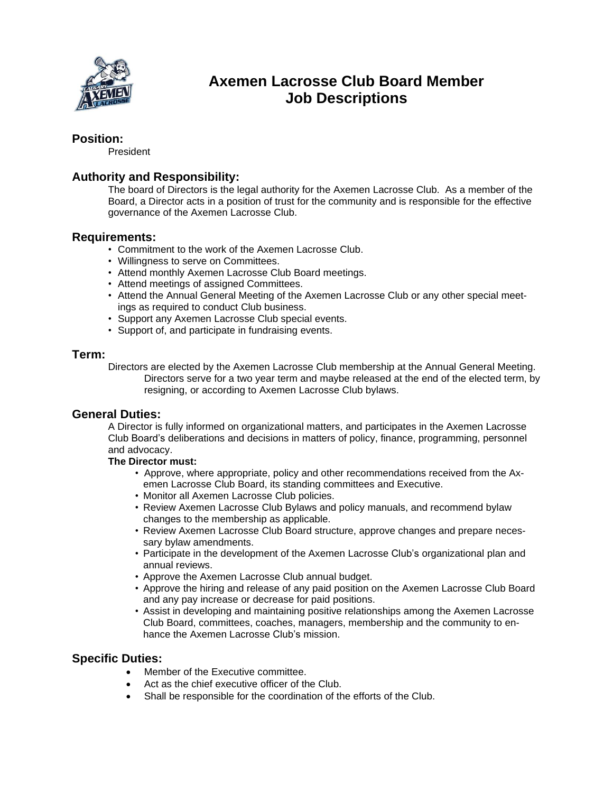

# **Axemen Lacrosse Club Board Member Job Descriptions**

## **Position:**

President

# **Authority and Responsibility:**

The board of Directors is the legal authority for the Axemen Lacrosse Club. As a member of the Board, a Director acts in a position of trust for the community and is responsible for the effective governance of the Axemen Lacrosse Club.

#### **Requirements:**

- Commitment to the work of the Axemen Lacrosse Club.
- Willingness to serve on Committees.
- Attend monthly Axemen Lacrosse Club Board meetings.
- Attend meetings of assigned Committees.
- Attend the Annual General Meeting of the Axemen Lacrosse Club or any other special meetings as required to conduct Club business.
- Support any Axemen Lacrosse Club special events.
- Support of, and participate in fundraising events.

#### **Term:**

Directors are elected by the Axemen Lacrosse Club membership at the Annual General Meeting. Directors serve for a two year term and maybe released at the end of the elected term, by resigning, or according to Axemen Lacrosse Club bylaws.

#### **General Duties:**

A Director is fully informed on organizational matters, and participates in the Axemen Lacrosse Club Board's deliberations and decisions in matters of policy, finance, programming, personnel and advocacy.

#### **The Director must:**

- Approve, where appropriate, policy and other recommendations received from the Axemen Lacrosse Club Board, its standing committees and Executive.
- Monitor all Axemen Lacrosse Club policies.
- Review Axemen Lacrosse Club Bylaws and policy manuals, and recommend bylaw changes to the membership as applicable.
- Review Axemen Lacrosse Club Board structure, approve changes and prepare necessary bylaw amendments.
- Participate in the development of the Axemen Lacrosse Club's organizational plan and annual reviews.
- Approve the Axemen Lacrosse Club annual budget.
- Approve the hiring and release of any paid position on the Axemen Lacrosse Club Board and any pay increase or decrease for paid positions.
- Assist in developing and maintaining positive relationships among the Axemen Lacrosse Club Board, committees, coaches, managers, membership and the community to enhance the Axemen Lacrosse Club's mission.

### **Specific Duties:**

- Member of the Executive committee.
- Act as the chief executive officer of the Club.
- Shall be responsible for the coordination of the efforts of the Club.